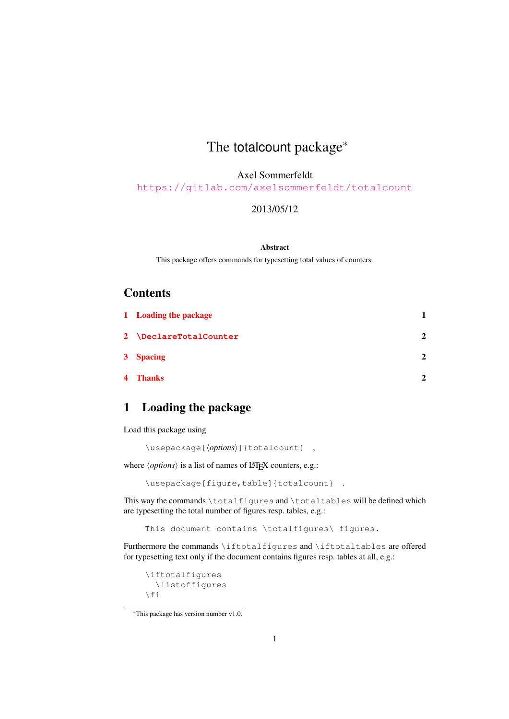# The totalcount package<sup>∗</sup>

Axel Sommerfeldt

<https://gitlab.com/axelsommerfeldt/totalcount>

#### 2013/05/12

#### Abstract

This package offers commands for typesetting total values of counters.

#### **Contents**

| 1 Loading the package  |                |
|------------------------|----------------|
| 2 \DeclareTotalCounter | $\mathbf{2}$   |
| 3 Spacing              | $\overline{2}$ |
| 4 Thanks               | $\mathbf{2}$   |

### <span id="page-0-0"></span>1 Loading the package

Load this package using

\usepackage[ $\langle options\rangle$ ]{totalcount} ,

where  $\langle options \rangle$  is a list of names of LAT<sub>EX</sub> counters, e.g.:

\usepackage[figure,table]{totalcount} .

This way the commands \totalfigures and \totaltables will be defined which are typesetting the total number of figures resp. tables, e.g.:

This document contains \totalfigures\ figures.

Furthermore the commands \iftotalfigures and \iftotaltables are offered for typesetting text only if the document contains figures resp. tables at all, e.g.:

```
\iftotalfigures
    \listoffigures
\left\{ \begin{array}{c} f \\ f \end{array} \right\}
```
<sup>∗</sup>This package has version number v1.0.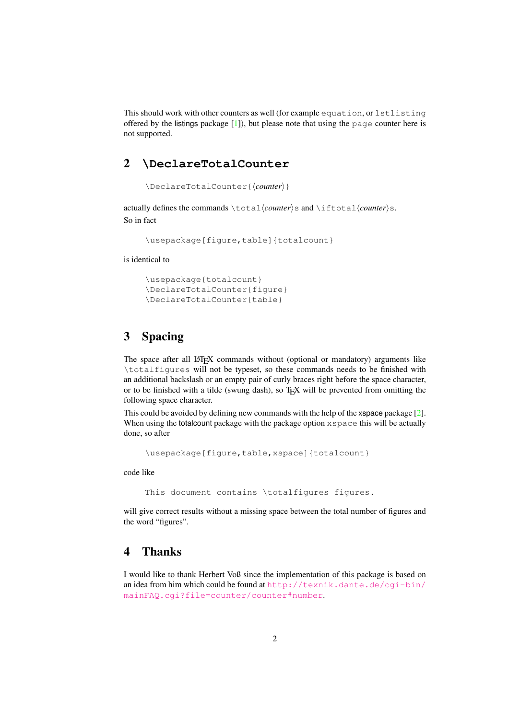This should work with other counters as well (for example equation, or lstlisting offered by the listings package  $[1]$ ), but please note that using the page counter here is not supported.

### <span id="page-1-0"></span>2 **\DeclareTotalCounter**

```
\DeclareTotalCounter{\langle counter \rangle}
```
actually defines the commands \total\*counter*\s and \iftotal\*counter*\s. So in fact

\usepackage[figure,table]{totalcount}

is identical to

```
\usepackage{totalcount}
\DeclareTotalCounter{figure}
\DeclareTotalCounter{table}
```
### <span id="page-1-1"></span>3 Spacing

The space after all LAT<sub>EX</sub> commands without (optional or mandatory) arguments like \totalfigures will not be typeset, so these commands needs to be finished with an additional backslash or an empty pair of curly braces right before the space character, or to be finished with a tilde (swung dash), so  $T_{F}X$  will be prevented from omitting the following space character.

This could be avoided by defining new commands with the help of the xspace package [\[2\]](#page-2-1). When using the totalcount package with the package option xspace this will be actually done, so after

\usepackage[figure,table,xspace]{totalcount}

code like

This document contains \totalfigures figures.

will give correct results without a missing space between the total number of figures and the word "figures".

#### <span id="page-1-2"></span>4 Thanks

I would like to thank Herbert Voß since the implementation of this package is based on an idea from him which could be found at  $http://text.x.dante.de/cqi-bin/$ [mainFAQ.cgi?file=counter/counter#number](http://texnik.dante.de/cgi-bin/mainFAQ.cgi?file=counter/counter#number).